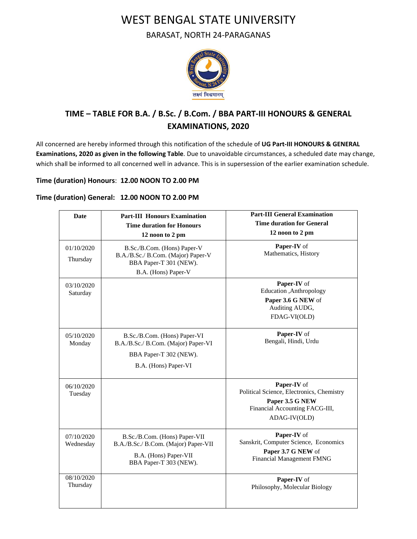## WEST BENGAL STATE UNIVERSITY

BARASAT, NORTH 24-PARAGANAS



## **TIME – TABLE FOR B.A. / B.Sc. / B.Com. / BBA PART-III HONOURS & GENERAL EXAMINATIONS, 2020**

All concerned are hereby informed through this notification of the schedule of **UG Part-III HONOURS & GENERAL Examinations, 2020 as given in the following Table**. Due to unavoidable circumstances, a scheduled date may change, which shall be informed to all concerned well in advance. This is in supersession of the earlier examination schedule.

## **Time (duration) Honours**: **12.00 NOON TO 2.00 PM**

## **Time (duration) General: 12.00 NOON TO 2.00 PM**

| <b>Date</b>             | <b>Part-III Honours Examination</b><br><b>Time duration for Honours</b><br>12 noon to 2 pm                               | <b>Part-III General Examination</b><br><b>Time duration for General</b><br>12 noon to 2 pm                                    |
|-------------------------|--------------------------------------------------------------------------------------------------------------------------|-------------------------------------------------------------------------------------------------------------------------------|
| 01/10/2020<br>Thursday  | B.Sc./B.Com. (Hons) Paper-V<br>B.A./B.Sc./ B.Com. (Major) Paper-V<br>BBA Paper-T 301 (NEW).<br>B.A. (Hons) Paper-V       | Paper-IV of<br>Mathematics, History                                                                                           |
| 03/10/2020<br>Saturday  |                                                                                                                          | Paper-IV of<br>Education , Anthropology<br>Paper 3.6 G NEW of<br>Auditing AUDG,<br>FDAG-VI(OLD)                               |
| 05/10/2020<br>Monday    | B.Sc./B.Com. (Hons) Paper-VI<br>B.A./B.Sc./ B.Com. (Major) Paper-VI<br>BBA Paper-T 302 (NEW).<br>B.A. (Hons) Paper-VI    | Paper-IV of<br>Bengali, Hindi, Urdu                                                                                           |
| 06/10/2020<br>Tuesday   |                                                                                                                          | Paper-IV of<br>Political Science, Electronics, Chemistry<br>Paper 3.5 G NEW<br>Financial Accounting FACG-III,<br>ADAG-IV(OLD) |
| 07/10/2020<br>Wednesday | B.Sc./B.Com. (Hons) Paper-VII<br>B.A./B.Sc./ B.Com. (Major) Paper-VII<br>B.A. (Hons) Paper-VII<br>BBA Paper-T 303 (NEW). | Paper-IV of<br>Sanskrit, Computer Science, Economics<br>Paper 3.7 G NEW of<br>Financial Management FMNG                       |
| 08/10/2020<br>Thursday  |                                                                                                                          | Paper-IV of<br>Philosophy, Molecular Biology                                                                                  |